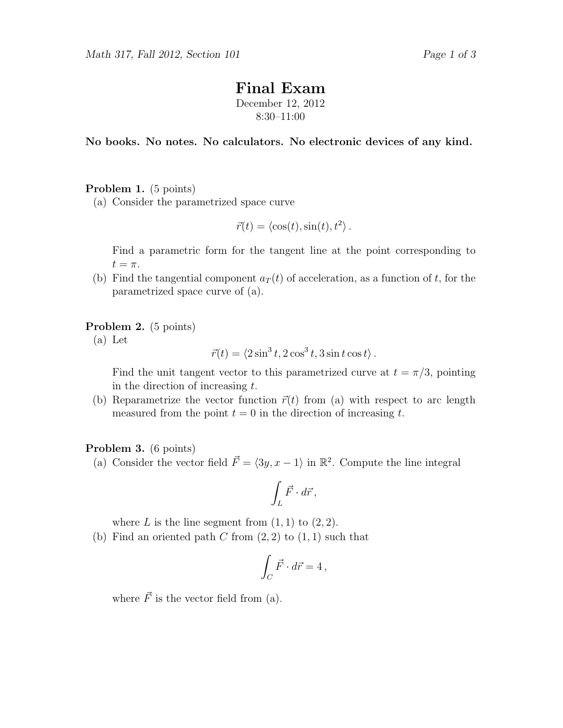# Final Exam

December 12, 2012 8:30–11:00

No books. No notes. No calculators. No electronic devices of any kind.

## Problem 1. (5 points)

(a) Consider the parametrized space curve

$$
\vec{r}(t) = \langle \cos(t), \sin(t), t^2 \rangle.
$$

Find a parametric form for the tangent line at the point corresponding to  $t=\pi$ .

(b) Find the tangential component  $a_T(t)$  of acceleration, as a function of t, for the parametrized space curve of (a).

#### Problem 2. (5 points)

(a) Let

$$
\vec{r}(t) = \langle 2\sin^3 t, 2\cos^3 t, 3\sin t \cos t \rangle.
$$

Find the unit tangent vector to this parametrized curve at  $t = \pi/3$ , pointing in the direction of increasing  $t$ .

(b) Reparametrize the vector function  $\vec{r}(t)$  from (a) with respect to arc length measured from the point  $t = 0$  in the direction of increasing t.

#### Problem 3. (6 points)

(a) Consider the vector field  $\vec{F} = \langle 3y, x - 1 \rangle$  in  $\mathbb{R}^2$ . Compute the line integral

$$
\int_L \vec{F} \cdot d\vec{r},
$$

where L is the line segment from  $(1, 1)$  to  $(2, 2)$ .

(b) Find an oriented path C from  $(2, 2)$  to  $(1, 1)$  such that

$$
\int_C \vec{F} \cdot d\vec{r} = 4 \,,
$$

where  $\vec{F}$  is the vector field from (a).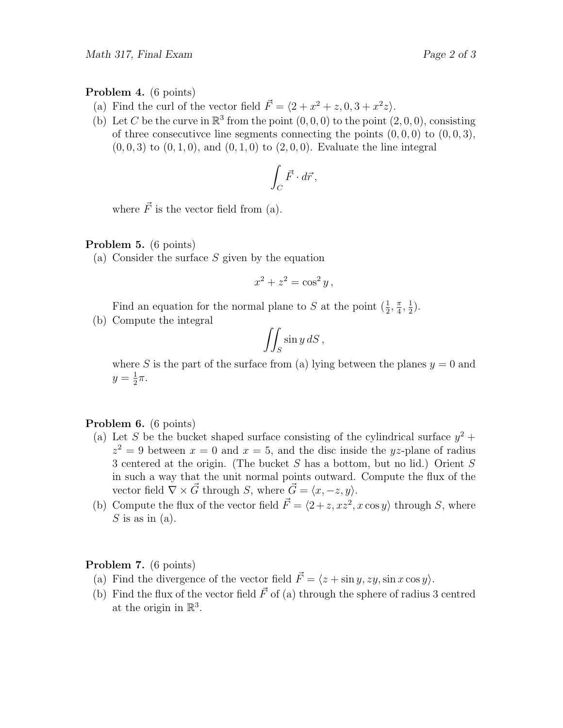#### Problem 4. (6 points)

- (a) Find the curl of the vector field  $\vec{F} = \langle 2 + x^2 + z, 0, 3 + x^2 z \rangle$ .
- (b) Let C be the curve in  $\mathbb{R}^3$  from the point  $(0,0,0)$  to the point  $(2,0,0)$ , consisting of three consecutive line segments connecting the points  $(0, 0, 0)$  to  $(0, 0, 3)$ ,  $(0, 0, 3)$  to  $(0, 1, 0)$ , and  $(0, 1, 0)$  to  $(2, 0, 0)$ . Evaluate the line integral

$$
\int_C \vec{F} \cdot d\vec{r},
$$

where  $\vec{F}$  is the vector field from (a).

## Problem 5. (6 points)

(a) Consider the surface  $S$  given by the equation

$$
x^2 + z^2 = \cos^2 y,
$$

Find an equation for the normal plane to S at the point  $(\frac{1}{2}, \frac{\pi}{4})$  $\frac{\pi}{4}, \frac{1}{2}$  $(\frac{1}{2})$ .

(b) Compute the integral

$$
\iint_S \sin y \, dS \,,
$$

where S is the part of the surface from (a) lying between the planes  $y = 0$  and  $y=\frac{1}{2}$  $rac{1}{2}\pi$ .

# Problem 6. (6 points)

- (a) Let S be the bucket shaped surface consisting of the cylindrical surface  $y^2$  +  $z^2 = 9$  between  $x = 0$  and  $x = 5$ , and the disc inside the yz-plane of radius 3 centered at the origin. (The bucket S has a bottom, but no lid.) Orient S in such a way that the unit normal points outward. Compute the flux of the vector field  $\nabla \times \vec{G}$  through S, where  $\vec{G} = \langle x, -z, y \rangle$ .
- (b) Compute the flux of the vector field  $\vec{F} = \langle 2 + z, xz^2, x \cos y \rangle$  through S, where  $S$  is as in  $(a)$ .

#### Problem 7. (6 points)

- (a) Find the divergence of the vector field  $\vec{F} = \langle z + \sin y, zy, \sin x \cos y \rangle$ .
- (b) Find the flux of the vector field  $\vec{F}$  of (a) through the sphere of radius 3 centred at the origin in  $\mathbb{R}^3$ .